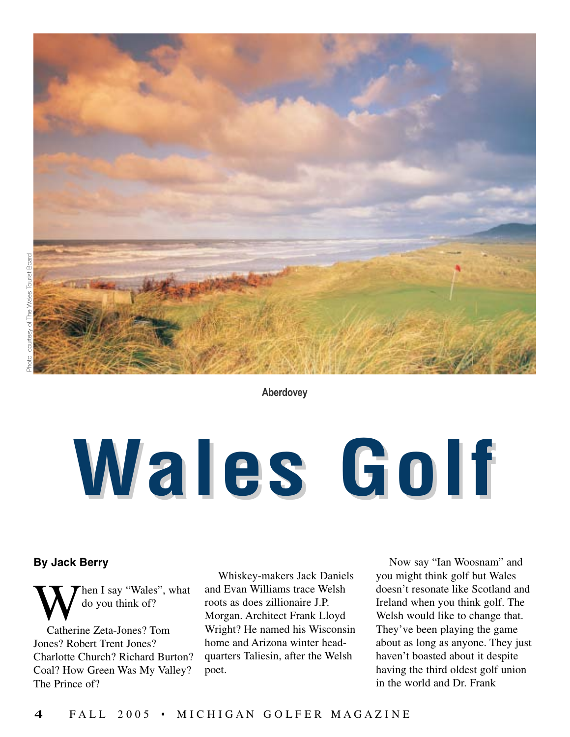

**Aberdovey**

# **Wales Golf ales Golf**

## **By Jack Berry**

hen I say "Wales", what do you think of?

Catherine Zeta-Jones? Tom Jones? Robert Trent Jones? Charlotte Church? Richard Burton? Coal? How Green Was My Valley? The Prince of?

Whiskey-makers Jack Daniels and Evan Williams trace Welsh roots as does zillionaire J.P. Morgan. Architect Frank Lloyd Wright? He named his Wisconsin home and Arizona winter headquarters Taliesin, after the Welsh poet.

Now say "Ian Woosnam" and you might think golf but Wales doesn't resonate like Scotland and Ireland when you think golf. The Welsh would like to change that. They've been playing the game about as long as anyone. They just haven't boasted about it despite having the third oldest golf union in the world and Dr. Frank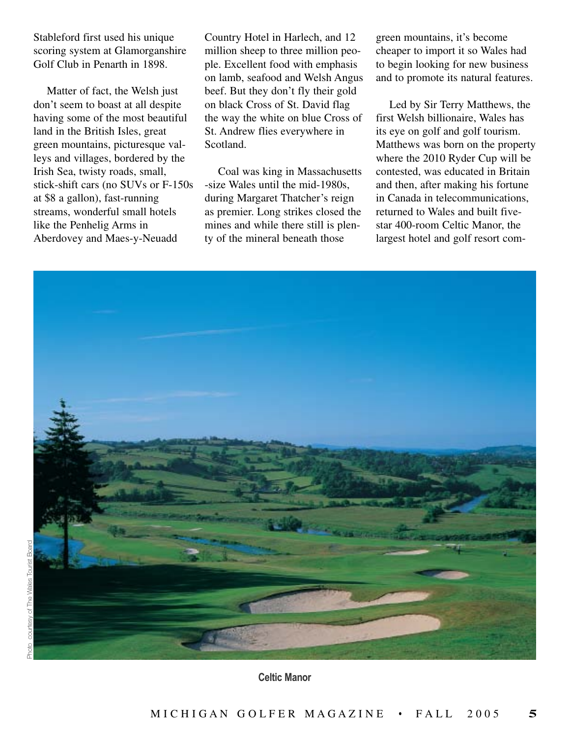Stableford first used his unique scoring system at Glamorganshire Golf Club in Penarth in 1898.

Matter of fact, the Welsh just don't seem to boast at all despite having some of the most beautiful land in the British Isles, great green mountains, picturesque valleys and villages, bordered by the Irish Sea, twisty roads, small, stick-shift cars (no SUVs or F-150s at \$8 a gallon), fast-running streams, wonderful small hotels like the Penhelig Arms in Aberdovey and Maes-y-Neuadd

Country Hotel in Harlech, and 12 million sheep to three million people. Excellent food with emphasis on lamb, seafood and Welsh Angus beef. But they don't fly their gold on black Cross of St. David flag the way the white on blue Cross of St. Andrew flies everywhere in Scotland.

Coal was king in Massachusetts -size Wales until the mid-1980s, during Margaret Thatcher's reign as premier. Long strikes closed the mines and while there still is plenty of the mineral beneath those

green mountains, it's become cheaper to import it so Wales had to begin looking for new business and to promote its natural features.

Led by Sir Terry Matthews, the first Welsh billionaire, Wales has its eye on golf and golf tourism. Matthews was born on the property where the 2010 Ryder Cup will be contested, was educated in Britain and then, after making his fortune in Canada in telecommunications, returned to Wales and built fivestar 400-room Celtic Manor, the largest hotel and golf resort com-



**Celtic Manor**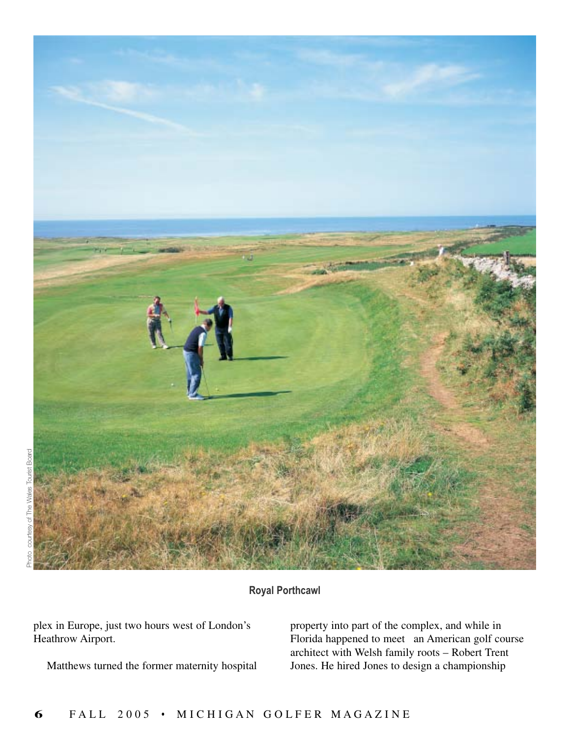

# **Royal Porthcawl**

plex in Europe, just two hours west of London's Heathrow Airport.

Matthews turned the former maternity hospital

property into part of the complex, and while in Florida happened to meet an American golf course architect with Welsh family roots – Robert Trent Jones. He hired Jones to design a championship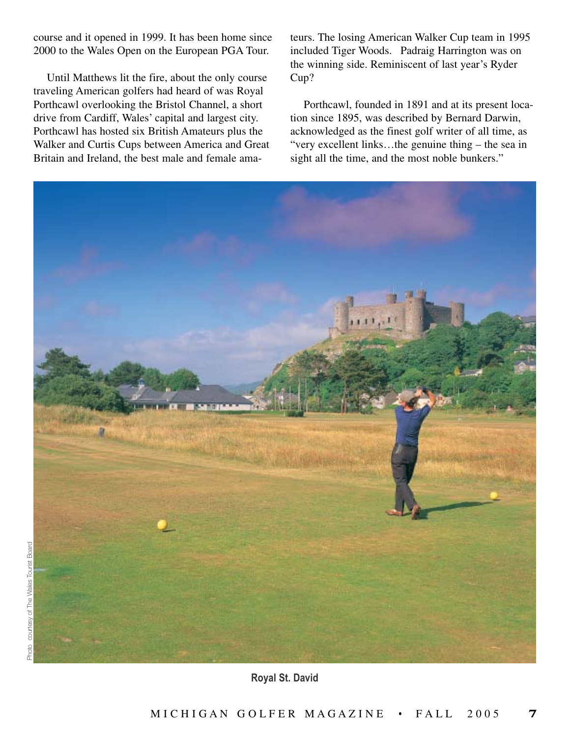course and it opened in 1999. It has been home since 2000 to the Wales Open on the European PGA Tour.

Until Matthews lit the fire, about the only course traveling American golfers had heard of was Royal Porthcawl overlooking the Bristol Channel, a short drive from Cardiff, Wales' capital and largest city. Porthcawl has hosted six British Amateurs plus the Walker and Curtis Cups between America and Great Britain and Ireland, the best male and female ama-

teurs. The losing American Walker Cup team in 1995 included Tiger Woods. Padraig Harrington was on the winning side. Reminiscent of last year's Ryder Cup?

Porthcawl, founded in 1891 and at its present location since 1895, was described by Bernard Darwin, acknowledged as the finest golf writer of all time, as "very excellent links…the genuine thing – the sea in sight all the time, and the most noble bunkers."

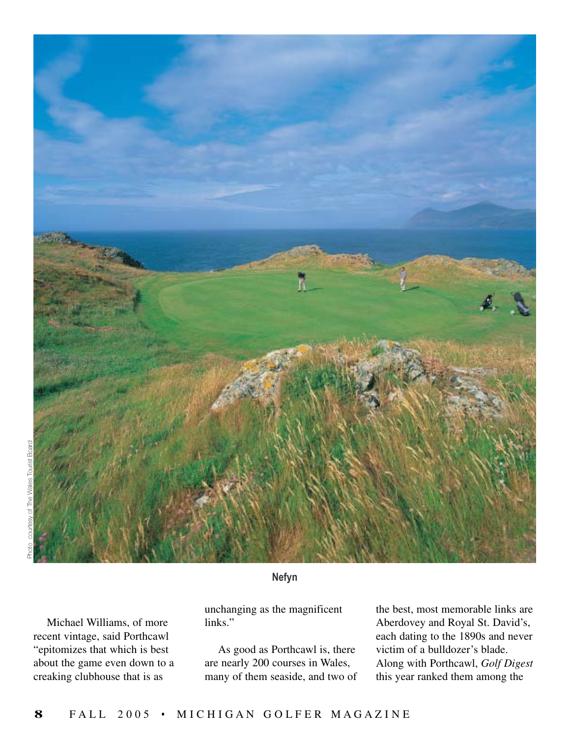

# **Nefyn**

Michael Williams, of more recent vintage, said Porthcawl "epitomizes that which is best about the game even down to a creaking clubhouse that is as

unchanging as the magnificent links."

As good as Porthcawl is, there are nearly 200 courses in Wales, many of them seaside, and two of

the best, most memorable links are Aberdovey and Royal St. David's, each dating to the 1890s and never victim of a bulldozer's blade. Along with Porthcawl, *Golf Digest* this year ranked them among the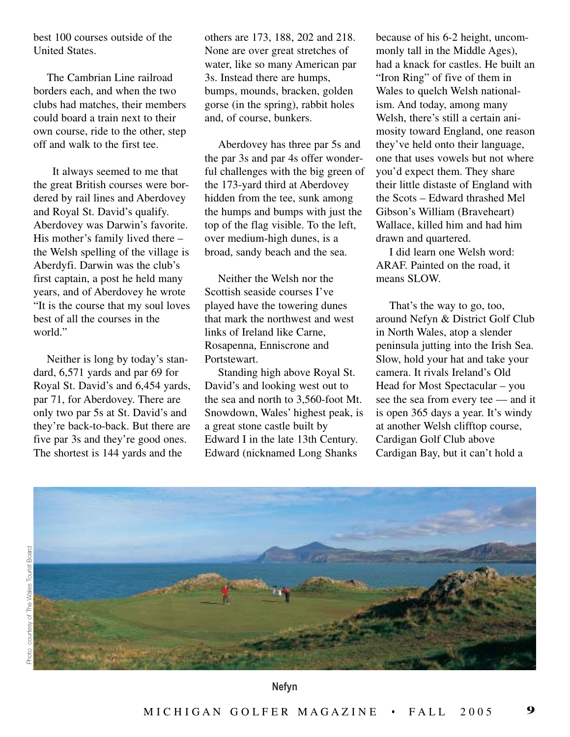best 100 courses outside of the United States.

The Cambrian Line railroad borders each, and when the two clubs had matches, their members could board a train next to their own course, ride to the other, step off and walk to the first tee.

It always seemed to me that the great British courses were bordered by rail lines and Aberdovey and Royal St. David's qualify. Aberdovey was Darwin's favorite. His mother's family lived there – the Welsh spelling of the village is Aberdyfi. Darwin was the club's first captain, a post he held many years, and of Aberdovey he wrote "It is the course that my soul loves best of all the courses in the world."

Neither is long by today's standard, 6,571 yards and par 69 for Royal St. David's and 6,454 yards, par 71, for Aberdovey. There are only two par 5s at St. David's and they're back-to-back. But there are five par 3s and they're good ones. The shortest is 144 yards and the

others are 173, 188, 202 and 218. None are over great stretches of water, like so many American par 3s. Instead there are humps, bumps, mounds, bracken, golden gorse (in the spring), rabbit holes and, of course, bunkers.

Aberdovey has three par 5s and the par 3s and par 4s offer wonderful challenges with the big green of the 173-yard third at Aberdovey hidden from the tee, sunk among the humps and bumps with just the top of the flag visible. To the left, over medium-high dunes, is a broad, sandy beach and the sea.

Neither the Welsh nor the Scottish seaside courses I've played have the towering dunes that mark the northwest and west links of Ireland like Carne, Rosapenna, Enniscrone and Portstewart.

Standing high above Royal St. David's and looking west out to the sea and north to 3,560-foot Mt. Snowdown, Wales' highest peak, is a great stone castle built by Edward I in the late 13th Century. Edward (nicknamed Long Shanks

because of his 6-2 height, uncommonly tall in the Middle Ages), had a knack for castles. He built an "Iron Ring" of five of them in Wales to quelch Welsh nationalism. And today, among many Welsh, there's still a certain animosity toward England, one reason they've held onto their language, one that uses vowels but not where you'd expect them. They share their little distaste of England with the Scots – Edward thrashed Mel Gibson's William (Braveheart) Wallace, killed him and had him drawn and quartered.

I did learn one Welsh word: ARAF. Painted on the road, it means SLOW.

That's the way to go, too, around Nefyn & District Golf Club in North Wales, atop a slender peninsula jutting into the Irish Sea. Slow, hold your hat and take your camera. It rivals Ireland's Old Head for Most Spectacular – you see the sea from every tee — and it is open 365 days a year. It's windy at another Welsh clifftop course, Cardigan Golf Club above Cardigan Bay, but it can't hold a



**Nefyn**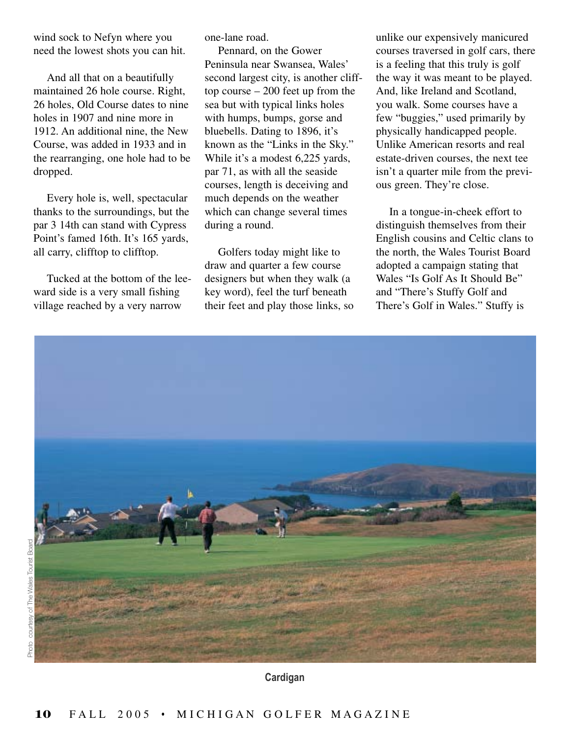wind sock to Nefyn where you need the lowest shots you can hit.

And all that on a beautifully maintained 26 hole course. Right, 26 holes, Old Course dates to nine holes in 1907 and nine more in 1912. An additional nine, the New Course, was added in 1933 and in the rearranging, one hole had to be dropped.

Every hole is, well, spectacular thanks to the surroundings, but the par 3 14th can stand with Cypress Point's famed 16th. It's 165 yards, all carry, clifftop to clifftop.

Tucked at the bottom of the leeward side is a very small fishing village reached by a very narrow

one-lane road.

Pennard, on the Gower Peninsula near Swansea, Wales' second largest city, is another clifftop course – 200 feet up from the sea but with typical links holes with humps, bumps, gorse and bluebells. Dating to 1896, it's known as the "Links in the Sky." While it's a modest 6,225 yards, par 71, as with all the seaside courses, length is deceiving and much depends on the weather which can change several times during a round.

Golfers today might like to draw and quarter a few course designers but when they walk (a key word), feel the turf beneath their feet and play those links, so unlike our expensively manicured courses traversed in golf cars, there is a feeling that this truly is golf the way it was meant to be played. And, like Ireland and Scotland, you walk. Some courses have a few "buggies," used primarily by physically handicapped people. Unlike American resorts and real estate-driven courses, the next tee isn't a quarter mile from the previous green. They're close.

In a tongue-in-cheek effort to distinguish themselves from their English cousins and Celtic clans to the north, the Wales Tourist Board adopted a campaign stating that Wales "Is Golf As It Should Be" and "There's Stuffy Golf and There's Golf in Wales." Stuffy is



**Cardigan**